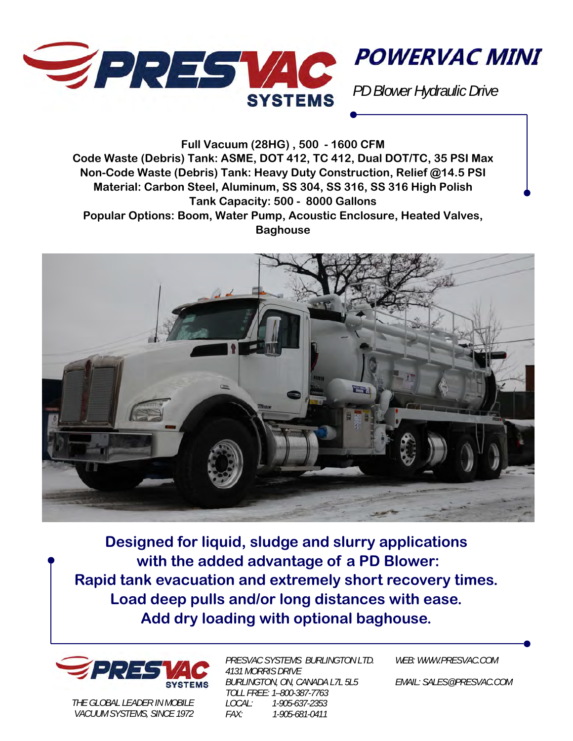

**POWERVAC MINI** 

*PD Blower Hydraulic Drive* 

**Full Vacuum (28HG) , 500 - 1600 CFM Code Waste (Debris) Tank: ASME, DOT 412, TC 412, Dual DOT/TC, 35 PSI Max Non-Code Waste (Debris) Tank: Heavy Duty Construction, Relief @14.5 PSI Material: Carbon Steel, Aluminum, SS 304, SS 316, SS 316 High Polish Tank Capacity: 500 - 8000 Gallons Popular Options: Boom, Water Pump, Acoustic Enclosure, Heated Valves, Baghouse** 



**Designed for liquid, sludge and slurry applications with the added advantage of a PD Blower: Rapid tank evacuation and extremely short recovery times. Load deep pulls and/or long distances with ease. Add dry loading with optional baghouse.** 



*THE GLOBAL LEADER IN MOBILE VACUUM SYSTEMS, SINCE 1972* 

*PRESVAC SYSTEMS BURLINGTON LTD. 4131 MORRIS DRIVE BURLINGTON, ON, CANADA L7L 5L5 TOLL FREE: 1–800-387-7763 LOCAL: 1-905-637-2353 FAX: 1-905-681-0411* 

*WEB: WWW.PRESVAC.COM* 

*EMAIL: SALES@PRESVAC.COM*